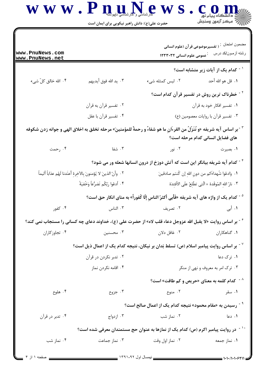## $\bf W \, \bf W \cdot \bf P \, \bf n$

| www.PnuNews.com<br>www.PnuNews.net |                                                                                                                             | عمومی علوم انسانی ۱۲۳۳۰۳۲                                                                                               | مضمون امنحان : ( تفسيرموضوعي قرآن (علوم انساني<br>رشته أزمون/كد درس |
|------------------------------------|-----------------------------------------------------------------------------------------------------------------------------|-------------------------------------------------------------------------------------------------------------------------|---------------------------------------------------------------------|
|                                    |                                                                                                                             |                                                                                                                         | <sup>٬ -</sup> كدام یک از آیات زیر متشابه است؟                      |
| ۰۴ الله خالق کلّ شیء               | ٠٣ يد الله فوق أيديهم                                                                                                       | ٠٢ ليس كمثله شى،                                                                                                        | ٠١. قل هو الله أحد                                                  |
|                                    |                                                                                                                             |                                                                                                                         | <sup>۲ -</sup> خطرناک ترین روش در تفسیر قرآن کدام است؟              |
|                                    | ۰۲ تفسیر قرآن به قرآن                                                                                                       |                                                                                                                         | ۰۱ تفسیر افکار خود به قرآن                                          |
|                                    | ۰۴ تفسیر قرآن با عقل                                                                                                        |                                                                                                                         | ۰۳ تفسیر قرآن با روایات معصومین (ع)                                 |
|                                    |                                                                                                                             | م - بر اساس آيه شريفه «و نُنَزّلٌ من القرءَانِ ما هو شفاءٌ و رحمةٌ للمؤمنين» مرحله تخلق به اخلاق الهي و جوانه زدن شكوفه | های فضایل انسانی کدام مرحله است؟                                    |
| ۰۴ رحمت                            | ۰۳ شفا                                                                                                                      | ۰۲ نور                                                                                                                  | ۰۱ بصیرت                                                            |
|                                    |                                                                                                                             | <sup>۶ -</sup> کدام آیه شریفه بیانگر این است که آتش دوزخ از درون انسانها شعله ور می شود؟                                |                                                                     |
|                                    | ٠١. وَادعُوا شُهداءَكم من دونِ اللهِ إن كُنتم صادقينَ<br>٢. وأنّ الذينَ لا يُؤمنونَ بِالآخِرِهِ أعتَدنا لَهُم عذاباً أليماً |                                                                                                                         |                                                                     |
|                                    | ۴ . ٱدعُوا رَبّكُم تَضرُّعاً وَخُفيَةً                                                                                      | ٣. نارُ اللهِ المُوقَدة × الّتى تطّلِعُ علَى الأفئِدَة                                                                  |                                                                     |
|                                    |                                                                                                                             | <sup>۵ -</sup> كدام يك از واژه هاى آيه شريفه «فَأبى أكثرُ الناسِ إلّا كُفوراً» به مناى انكار حق است؟                    |                                                                     |
| ۰۴ کفور                            | ۰۳ الناس                                                                                                                    | ۰۲ تصریف                                                                                                                | ۱. أبي                                                              |
|                                    |                                                                                                                             | گ - بر اساس روایت «لا یقبل الله عزوجل دعاء قلب لاه» از حضرت علی (ع)، خداوند دعای چه کسانی را مستجاب نمی کند؟            |                                                                     |
| ۰۴ تجاوز کاران                     | ۰۳ محسنین                                                                                                                   | ۰۲ غافل دلان                                                                                                            | ۰۱ گناهکاران                                                        |
|                                    |                                                                                                                             | `` - بر اساس روایت پیامبر اسلام (ص) تسلط بَدان بر نیکان، نتیجه کدام یک از اعمال ذیل است؟                                |                                                                     |
|                                    | ۰۲ تدبر نکردن در قرآن                                                                                                       |                                                                                                                         | ۰۱ ترک دعا                                                          |
|                                    | ۰۴ اقامه نکردن نماز                                                                                                         | ۰۳ ترک امر به معروف و نهی از منکر                                                                                       |                                                                     |
|                                    |                                                                                                                             | $^{\wedge}$ کدام کلمه به معنای «حریص و کم طاقت» است $^{\wedge}$                                                         |                                                                     |
| ۰۴ هلوع                            | ۰۳ جزوع                                                                                                                     | ۰۲ منوع                                                                                                                 | ۰۱ سقر                                                              |
|                                    |                                                                                                                             | <sup>۹ -</sup> رسیدن به «مقام محمود» نتیجه کدام یک از اعمال صالح است؟                                                   |                                                                     |
| ۰۴ تدبر در قرآن                    | ۰۳ ازدواج                                                                                                                   | ۰۲ نماز شب                                                                                                              | ۰۱ دعا                                                              |
|                                    |                                                                                                                             | ً ` ` - در روایت پیامبر اکرم (ص) کدام یک از نمازها به عنوان حج مستمندان معرفی شده است؟                                  |                                                                     |
| ۰۴ نماز شب                         | ۰۳ نماز جماعت                                                                                                               | ۰۲ نماز اول وقت                                                                                                         | ۰۱ نماز جمعه                                                        |
| _ صفحه ۱ از ۴                      |                                                                                                                             | _____ نیمسال اول ۹۲-۱۳۹۱ _                                                                                              | $=$ ۱۰۱۰/۱۰۱۰۶۲۱۱ $=$                                               |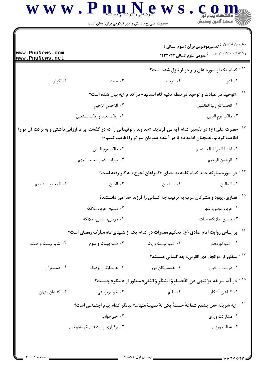$\bf{W} \ \bf{W} \ \bf{W} \ \bf{P} \ \bf{u} \mathbf{u}$ 

حضرت علی(ع): دانش راهبر نیکویی برای ایمان است

| www.PnuNews.com<br>www.PnuNews.net                                                                                                |                                                                     | <b>1233 مومی علوم انسانی ۱۲۳۳۰۳۲</b>                                                                  | مضمون امنحان : تفسيرموضوعي قرآن (علوم انساني )<br>رشته أزمون/كد درس    |  |
|-----------------------------------------------------------------------------------------------------------------------------------|---------------------------------------------------------------------|-------------------------------------------------------------------------------------------------------|------------------------------------------------------------------------|--|
|                                                                                                                                   |                                                                     |                                                                                                       | <sup>۱۱ -</sup> کدام یک از سوره های زیر دوبار نازل شده است؟            |  |
| ۰۴ کوثر                                                                                                                           | ۰۳ حمد                                                              | ۰۲ توحید                                                                                              | ۰۱ قدر                                                                 |  |
|                                                                                                                                   |                                                                     | <sup>۱۲ -</sup> «توحید در عبادت و توحید در نقطه تکیه گاه انسانها» در کدام آیه بیان شده است؟           |                                                                        |  |
|                                                                                                                                   | ٢. الرّحمنِ الرّحيمِ                                                |                                                                                                       | ٠١. الحمدُ للهِ ربّ العالمينَ                                          |  |
|                                                                                                                                   | ۰۴ إياك نعبدُ و إياك نستعينُ                                        |                                                                                                       | ٠٣ مالک يوم الدّين                                                     |  |
| <sup>۱۲ -</sup> حضرت علی (ع) در تفسیر کدام آیه می فرماید: «خداوندا، توفیقاتی را که در گذشته بر ما ارزانی داشتی و به برکت آن تو را |                                                                     | اطاعت کردیم، همچنان ادامه ده تا در آینده عمرمان نیز تو را اطاعت کنیم»؟                                |                                                                        |  |
|                                                                                                                                   | ٠٢ مالک يوم الدين                                                   |                                                                                                       | ٠١. اهدنا الصراط المستقيم                                              |  |
|                                                                                                                                   | ۰۴ صراط الذين انعمت اليهم                                           |                                                                                                       | ٠٣ الرحمن الرحيم                                                       |  |
|                                                                                                                                   |                                                                     | <sup>۱۴ -</sup> در سوره مبارکه حمد کدام کلمه به معنای «گمراهان لجوج» به کار رفته است؟                 |                                                                        |  |
| ۰۴ المغضوب عليهم                                                                                                                  | ۰۳ الدین                                                            | ۰۲ نستعین                                                                                             | ٠١. الضالين                                                            |  |
|                                                                                                                                   | نصاری، یهود و مشرکان عرب به ترتیب چه کسانی را فرزند خدا می دانستند؟ |                                                                                                       |                                                                        |  |
|                                                                                                                                   | ۰۲ مسیح، عزیر، ملائکه                                               |                                                                                                       | ۰۱ عزیر، موسی، بتها                                                    |  |
|                                                                                                                                   | ۰۴ موسی، عیسی، ملائکه                                               |                                                                                                       | ۰۳ مسیح، ملائکه، منات                                                  |  |
|                                                                                                                                   |                                                                     | ٔ آبر اساس روایت امام صادق (ع) تحکیم مقدرات در کدام یک از شبهای ماه مبارک رمضان است؟                  |                                                                        |  |
| ۰۴ شب بیست و هفتم                                                                                                                 | ۰۳ شب بیست و سوم                                                    | ۰۲ شب بیست و یکم                                                                                      | ۰۱ شب نوزدهم                                                           |  |
|                                                                                                                                   |                                                                     |                                                                                                       | $^{\circ}$ ' ^ - منظور از «والجار ذی القربی» چه کسانی هستند $^{\circ}$ |  |
| ۰۴ همسفران                                                                                                                        | ۰۳ همسایگان نزدیک                                                   | ۰۲ همسایگان دور                                                                                       | ۰۱ دوست و رفيق                                                         |  |
|                                                                                                                                   |                                                                     | <sup>۱۸ -</sup> در آيه شريفه «وَ يَنهى عنِ الفَحشاءِ وَ المُنكَرِ وَ البَغيِ» منظور از «منكر» چيست؟   |                                                                        |  |
| ۰۴ گناهان پنهان                                                                                                                   | ۰۳ خودبرتربینی                                                      | ۰۲ ظلم                                                                                                | ۰۱ گناهان آشکار                                                        |  |
|                                                                                                                                   |                                                                     | <sup>١٩ -</sup> آيه شريفه «مَن يَشفع شفاعةً حسنةً يَكُن لهُ نصيبٌ منها» بيانگر كدام پيام اجتماعي است؟ |                                                                        |  |
|                                                                                                                                   | ۰۲ خیرخواهی                                                         |                                                                                                       | ۰۱ مشارکت ورزی                                                         |  |
|                                                                                                                                   | ۰۴ برقراری پیوندهای خویشاوندی                                       |                                                                                                       | ۰۳ عدالت ورزی                                                          |  |
|                                                                                                                                   |                                                                     |                                                                                                       |                                                                        |  |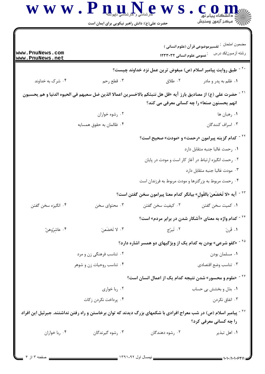

حضرت علی(ع): دانش راهبر نیکویی برای ایمان است

| www.PnuNews.com<br>www.PnuNews.net                                                                                                                              |                                                   | <b>1233 عمومی علوم انسانی ۱۲۳۳۰۳۲</b>                                                                                         | مضمون امتحان : تفسيرموضوعي قرآن (علوم انساني )<br>رشته أزمون/كد درس |  |
|-----------------------------------------------------------------------------------------------------------------------------------------------------------------|---------------------------------------------------|-------------------------------------------------------------------------------------------------------------------------------|---------------------------------------------------------------------|--|
| ` <sup>۲</sup> - طبق روایت پیامبر اسلام (ص) مبغوض ترین عمل نزد خداوند چیست؟                                                                                     |                                                   |                                                                                                                               |                                                                     |  |
| ۰۴ شرک به خداوند                                                                                                                                                | ۰۳ قطع رحم                                        | ۰۲ طلاق                                                                                                                       | ۰۱ ظلم به پدر و مادر                                                |  |
| لمن حضرت على (ع) از مصاديق بارز آيه «قل هل ننبئكم بالاخسرين اعمالا الذين ضل سعيهم فى الحيوه الدنيا و هم يحسبون ا<br>انهم یحسنون صنعا» را چه کسانی معرفی می کند؟ |                                                   |                                                                                                                               |                                                                     |  |
|                                                                                                                                                                 | ۰۲ رشوه خواران                                    |                                                                                                                               | ١. رهبان ها                                                         |  |
|                                                                                                                                                                 | ۰۴ ظالمان به حقوق همسایه                          |                                                                                                                               | ۰۳ اسراف کنندگان                                                    |  |
| <sup>۲۲ -</sup> کدام گزینه پیرامون «رحمت» و «مودت» صحیح است؟                                                                                                    |                                                   |                                                                                                                               |                                                                     |  |
|                                                                                                                                                                 |                                                   |                                                                                                                               | ٠١. رحمت غالبا جنبه متقابل دارد                                     |  |
|                                                                                                                                                                 |                                                   | ۰۲ رحمت انگیزه ارتباط در آغاز کار است و مودت در پایان                                                                         |                                                                     |  |
|                                                                                                                                                                 |                                                   |                                                                                                                               | ۰۳ مودت غالبا جنبه متقابل دارد                                      |  |
|                                                                                                                                                                 |                                                   | ۰۴ رحمت مربوط به بزرگترها و مودت مربوط به فرزندان است                                                                         |                                                                     |  |
|                                                                                                                                                                 |                                                   | <sup>۲۳ -</sup> آیه «لا تَخضَعنَ بالقَولِ» بیانگر کدام معنا پیرامون سخن گفتن است؟                                             |                                                                     |  |
| ۰۴ انگیزه سخن گفتن                                                                                                                                              | ۰۳ محتوای سخن                                     | ۰۲ کیفیت سخن گفتن                                                                                                             | ٠١ كميت سخن گفتن                                                    |  |
|                                                                                                                                                                 |                                                   |                                                                                                                               | <sup>۲۴ -</sup> کدام واژه به معنای «آشکار شدن در برابر مردم» است؟   |  |
| ۰۴ عاشِرُوهنّ                                                                                                                                                   | ۰۳ لَخضَعنَ                                       | ۰۲ تَبرّج                                                                                                                     | ١. قَرنَ                                                            |  |
|                                                                                                                                                                 |                                                   | <sup>۲۵ -</sup> «کفو شرعی» بودن به کدام یک از ویژگیهای دو همسر اشاره دارد؟                                                    |                                                                     |  |
| ۰۲ تناسب فرهنگی زن و مرد                                                                                                                                        |                                                   |                                                                                                                               | ٠١ مسلمان بودن                                                      |  |
|                                                                                                                                                                 | ۰۴ تناسب روحیات زن و شوهر<br>۰۳ تناسب وضع اقتصادي |                                                                                                                               |                                                                     |  |
|                                                                                                                                                                 |                                                   | <sup>۲۶ -</sup> «ملوم و محسور» شدن نتیجه کدام یک از اعمال انسان است؟                                                          |                                                                     |  |
|                                                                                                                                                                 | ۰۲ ربا خواری                                      |                                                                                                                               | ۰۱ بذل و بخشش بی حساب                                               |  |
|                                                                                                                                                                 | ۰۴ پرداخت نکردن زکات                              |                                                                                                                               | ۰۳ انفاق نکردن                                                      |  |
|                                                                                                                                                                 |                                                   | <sup>۲۷ -</sup> پیامبر اسلام (ص) در شب معراج افرادی با شکمهای بزرگ دیدند که توان برخاستن و راه رفتن نداشتند. جبرئیل این افراد |                                                                     |  |
|                                                                                                                                                                 |                                                   |                                                                                                                               | را چه کسانی معرفی کرد؟                                              |  |
| ۰۴ ربا خواران                                                                                                                                                   | ۰۳ رشوه گیرندگان                                  | ۰۲ رشوه دهندگان                                                                                                               | ۰۱ اهل تبذير                                                        |  |
| صفحه ۳ از ۴                                                                                                                                                     |                                                   |                                                                                                                               | 1010/10106211                                                       |  |